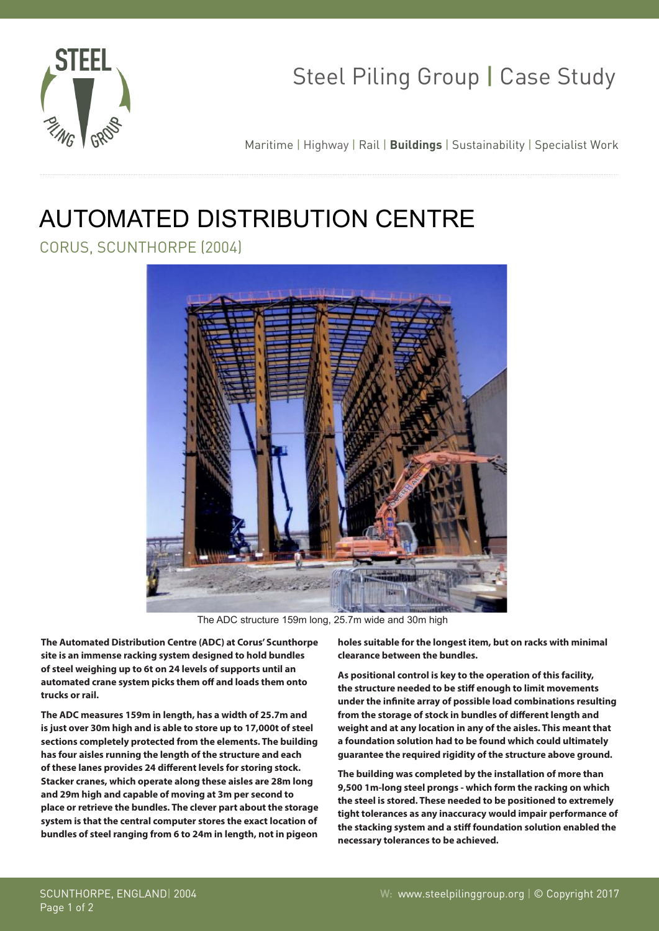

## Steel Piling Group | Case Study

Maritime | Highway | Rail | **Buildings** | Sustainability | Specialist Work

## AUTOMATED DISTRIBUTION CENTRE

CORUS, SCUNTHORPE (2004)



The ADC structure 159m long, 25.7m wide and 30m high

**The Automated Distribution Centre (ADC) at Corus' Scunthorpe site is an immense racking system designed to hold bundles of steel weighing up to 6t on 24 levels of supports until an automated crane system picks them off and loads them onto trucks or rail.**

**The ADC measures 159m in length, has a width of 25.7m and is just over 30m high and is able to store up to 17,000t of steel sections completely protected from the elements. The building has four aisles running the length of the structure and each of these lanes provides 24 different levels for storing stock. Stacker cranes, which operate along these aisles are 28m long and 29m high and capable of moving at 3m per second to place or retrieve the bundles. The clever part about the storage system is that the central computer stores the exact location of bundles of steel ranging from 6 to 24m in length, not in pigeon**

**holes suitable for the longest item, but on racks with minimal clearance between the bundles.**

**As positional control is key to the operation of this facility, the structure needed to be stiff enough to limit movements under the infinite array of possible load combinations resulting from the storage of stock in bundles of different length and weight and at any location in any of the aisles. This meant that a foundation solution had to be found which could ultimately guarantee the required rigidity of the structure above ground.** 

**The building was completed by the installation of more than 9,500 1m-long steel prongs - which form the racking on which the steel is stored. These needed to be positioned to extremely tight tolerances as any inaccuracy would impair performance of the stacking system and a stiff foundation solution enabled the necessary tolerances to be achieved.**